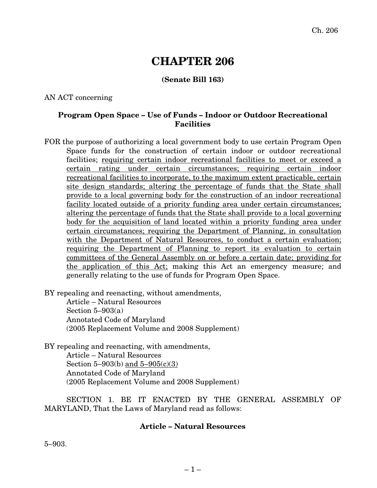# **CHAPTER 206**

## **(Senate Bill 163)**

### AN ACT concerning

### **Program Open Space – Use of Funds – Indoor or Outdoor Recreational Facilities**

FOR the purpose of authorizing a local government body to use certain Program Open Space funds for the construction of certain indoor or outdoor recreational facilities; requiring certain indoor recreational facilities to meet or exceed a certain rating under certain circumstances; requiring certain indoor recreational facilities to incorporate, to the maximum extent practicable, certain site design standards; altering the percentage of funds that the State shall provide to a local governing body for the construction of an indoor recreational facility located outside of a priority funding area under certain circumstances; altering the percentage of funds that the State shall provide to a local governing body for the acquisition of land located within a priority funding area under certain circumstances; requiring the Department of Planning, in consultation with the Department of Natural Resources, to conduct a certain evaluation; requiring the Department of Planning to report its evaluation to certain committees of the General Assembly on or before a certain date; providing for the application of this Act; making this Act an emergency measure; and generally relating to the use of funds for Program Open Space.

BY repealing and reenacting, without amendments,

Article – Natural Resources Section  $5-903(a)$ Annotated Code of Maryland (2005 Replacement Volume and 2008 Supplement)

BY repealing and reenacting, with amendments, Article – Natural Resources

Section 5–903(b) and 5–905(c)(3) Annotated Code of Maryland (2005 Replacement Volume and 2008 Supplement)

SECTION 1. BE IT ENACTED BY THE GENERAL ASSEMBLY OF MARYLAND, That the Laws of Maryland read as follows:

#### **Article – Natural Resources**

5–903.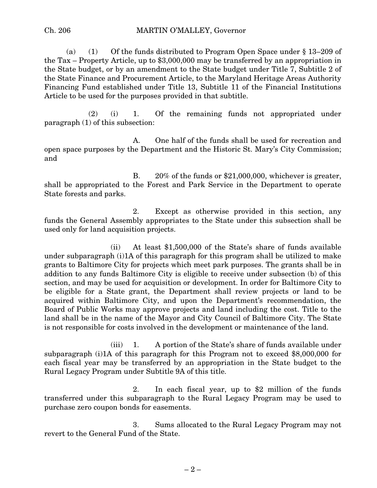#### Ch. 206 MARTIN O'MALLEY, Governor

(a) (1) Of the funds distributed to Program Open Space under § 13–209 of the Tax – Property Article, up to \$3,000,000 may be transferred by an appropriation in the State budget, or by an amendment to the State budget under Title 7, Subtitle 2 of the State Finance and Procurement Article, to the Maryland Heritage Areas Authority Financing Fund established under Title 13, Subtitle 11 of the Financial Institutions Article to be used for the purposes provided in that subtitle.

(2) (i) 1. Of the remaining funds not appropriated under paragraph (1) of this subsection:

A. One half of the funds shall be used for recreation and open space purposes by the Department and the Historic St. Mary's City Commission; and

B. 20% of the funds or \$21,000,000, whichever is greater, shall be appropriated to the Forest and Park Service in the Department to operate State forests and parks.

2. Except as otherwise provided in this section, any funds the General Assembly appropriates to the State under this subsection shall be used only for land acquisition projects.

(ii) At least \$1,500,000 of the State's share of funds available under subparagraph (i)1A of this paragraph for this program shall be utilized to make grants to Baltimore City for projects which meet park purposes. The grants shall be in addition to any funds Baltimore City is eligible to receive under subsection (b) of this section, and may be used for acquisition or development. In order for Baltimore City to be eligible for a State grant, the Department shall review projects or land to be acquired within Baltimore City, and upon the Department's recommendation, the Board of Public Works may approve projects and land including the cost. Title to the land shall be in the name of the Mayor and City Council of Baltimore City. The State is not responsible for costs involved in the development or maintenance of the land.

(iii) 1. A portion of the State's share of funds available under subparagraph (i)1A of this paragraph for this Program not to exceed \$8,000,000 for each fiscal year may be transferred by an appropriation in the State budget to the Rural Legacy Program under Subtitle 9A of this title.

2. In each fiscal year, up to \$2 million of the funds transferred under this subparagraph to the Rural Legacy Program may be used to purchase zero coupon bonds for easements.

3. Sums allocated to the Rural Legacy Program may not revert to the General Fund of the State.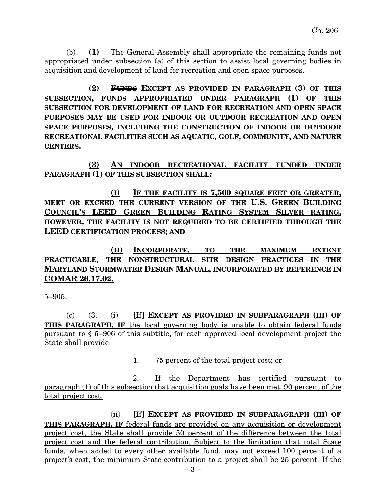(b) **(1)** The General Assembly shall appropriate the remaining funds not appropriated under subsection (a) of this section to assist local governing bodies in acquisition and development of land for recreation and open space purposes.

**(2) FUNDS EXCEPT AS PROVIDED IN PARAGRAPH (3) OF THIS SUBSECTION, FUNDS APPROPRIATED UNDER PARAGRAPH (1) OF THIS SUBSECTION FOR DEVELOPMENT OF LAND FOR RECREATION AND OPEN SPACE PURPOSES MAY BE USED FOR INDOOR OR OUTDOOR RECREATION AND OPEN SPACE PURPOSES, INCLUDING THE CONSTRUCTION OF INDOOR OR OUTDOOR RECREATIONAL FACILITIES SUCH AS AQUATIC, GOLF, COMMUNITY, AND NATURE CENTERS.**

**(3) AN INDOOR RECREATIONAL FACILITY FUNDED UNDER PARAGRAPH (1) OF THIS SUBSECTION SHALL:**

**(I) IF THE FACILITY IS 7,500 SQUARE FEET OR GREATER, MEET OR EXCEED THE CURRENT VERSION OF THE U.S. GREEN BUILDING COUNCIL'S LEED GREEN BUILDING RATING SYSTEM SILVER RATING, HOWEVER, THE FACILITY IS NOT REQUIRED TO BE CERTIFIED THROUGH THE LEED CERTIFICATION PROCESS; AND**

**(II) INCORPORATE, TO THE MAXIMUM EXTENT PRACTICABLE, THE NONSTRUCTURAL SITE DESIGN PRACTICES IN THE MARYLAND STORMWATER DESIGN MANUAL, INCORPORATED BY REFERENCE IN COMAR 26.17.02.**

5–905.

(c) (3) (i) **[**If**] EXCEPT AS PROVIDED IN SUBPARAGRAPH (III) OF THIS PARAGRAPH, IF** the local governing body is unable to obtain federal funds pursuant to § 5–906 of this subtitle, for each approved local development project the State shall provide:

1. 75 percent of the total project cost; or

2. If the Department has certified pursuant to paragraph (1) of this subsection that acquisition goals have been met, 90 percent of the total project cost.

(ii) **[**If**] EXCEPT AS PROVIDED IN SUBPARAGRAPH (III) OF THIS PARAGRAPH, IF** federal funds are provided on any acquisition or development project cost, the State shall provide 50 percent of the difference between the total project cost and the federal contribution. Subject to the limitation that total State funds, when added to every other available fund, may not exceed 100 percent of a project's cost, the minimum State contribution to a project shall be 25 percent. If the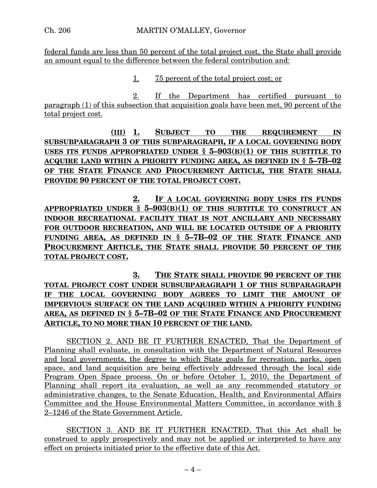federal funds are less than 50 percent of the total project cost, the State shall provide an amount equal to the difference between the federal contribution and:

1. 75 percent of the total project cost; or

2. If the Department has certified pursuant to paragraph (1) of this subsection that acquisition goals have been met, 90 percent of the total project cost.

**(III) 1. SUBJECT TO THE REQUIREMENT IN SUBSUBPARAGRAPH 3 OF THIS SUBPARAGRAPH, IF A LOCAL GOVERNING BODY USES ITS FUNDS APPROPRIATED UNDER § 5–903(B)(1) OF THIS SUBTITLE TO ACQUIRE LAND WITHIN A PRIORITY FUNDING AREA, AS DEFINED IN § 5–7B–02 OF THE STATE FINANCE AND PROCUREMENT ARTICLE, THE STATE SHALL PROVIDE 90 PERCENT OF THE TOTAL PROJECT COST.**

**2. IF A LOCAL GOVERNING BODY USES ITS FUNDS APPROPRIATED UNDER § 5–903(B)(1) OF THIS SUBTITLE TO CONSTRUCT AN INDOOR RECREATIONAL FACILITY THAT IS NOT ANCILLARY AND NECESSARY FOR OUTDOOR RECREATION, AND WILL BE LOCATED OUTSIDE OF A PRIORITY FUNDING AREA, AS DEFINED IN § 5–7B–02 OF THE STATE FINANCE AND PROCUREMENT ARTICLE, THE STATE SHALL PROVIDE 50 PERCENT OF THE TOTAL PROJECT COST.**

**3. THE STATE SHALL PROVIDE 90 PERCENT OF THE TOTAL PROJECT COST UNDER SUBSUBPARAGRAPH 1 OF THIS SUBPARAGRAPH IF THE LOCAL GOVERNING BODY AGREES TO LIMIT THE AMOUNT OF IMPERVIOUS SURFACE ON THE LAND ACQUIRED WITHIN A PRIORITY FUNDING AREA, AS DEFINED IN § 5–7B–02 OF THE STATE FINANCE AND PROCUREMENT ARTICLE, TO NO MORE THAN 10 PERCENT OF THE LAND.**

SECTION 2. AND BE IT FURTHER ENACTED, That the Department of Planning shall evaluate, in consultation with the Department of Natural Resources and local governments, the degree to which State goals for recreation, parks, open space, and land acquisition are being effectively addressed through the local side Program Open Space process. On or before October 1, 2010, the Department of Planning shall report its evaluation, as well as any recommended statutory or administrative changes, to the Senate Education, Health, and Environmental Affairs Committee and the House Environmental Matters Committee, in accordance with § 2–1246 of the State Government Article.

SECTION 3. AND BE IT FURTHER ENACTED, That this Act shall be construed to apply prospectively and may not be applied or interpreted to have any effect on projects initiated prior to the effective date of this Act.